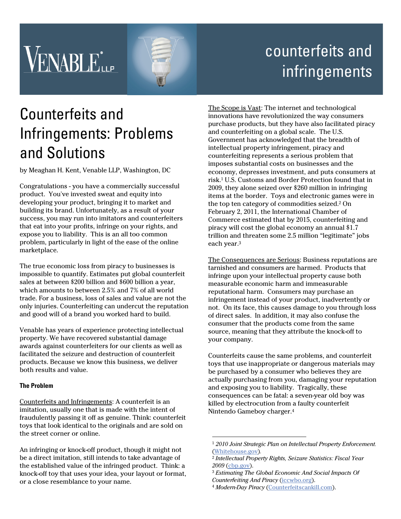# **VENABLE**



## counterfeits and infringements

## Counterfeits and Infringements: Problems and Solutions

by Meaghan H. Kent, Venable LLP, Washington, DC

Congratulations - you have a commercially successful product. You've invested sweat and equity into developing your product, bringing it to market and building its brand. Unfortunately, as a result of your success, you may run into imitators and counterfeiters that eat into your profits, infringe on your rights, and expose you to liability. This is an all too common problem, particularly in light of the ease of the online marketplace.

The true economic loss from piracy to businesses is impossible to quantify. Estimates put global counterfeit sales at between \$200 billion and \$600 billion a year, which amounts to between 2.5% and 7% of all world trade. For a business, loss of sales and value are not the only injuries. Counterfeiting can undercut the reputation and good will of a brand you worked hard to build.

Venable has years of experience protecting intellectual property. We have recovered substantial damage awards against counterfeiters for our clients as well as facilitated the seizure and destruction of counterfeit products. Because we know this business, we deliver both results and value.

### **The Problem**

Counterfeits and Infringements: A counterfeit is an imitation, usually one that is made with the intent of fraudulently passing it off as genuine. Think: counterfeit toys that look identical to the originals and are sold on the street corner or online.

An infringing or knock-off product, though it might not be a direct imitation, still intends to take advantage of the established value of the infringed product. Think: a knock-off toy that uses your idea, your layout or format, or a close resemblance to your name.

The Scope is Vast: The internet and technological innovations have revolutionized the way consumers purchase products, but they have also facilitated piracy and counterfeiting on a global scale. The U.S. Government has acknowledged that the breadth of intellectual property infringement, piracy and counterfeiting represents a serious problem that imposes substantial costs on businesses and the economy, depresses investment, and puts consumers at risk.1 U.S. Customs and Border Protection found that in 2009, they alone seized over \$260 million in infringing items at the border. Toys and electronic games were in the top ten category of commodities seized.2 On February 2, 2011, the International Chamber of Commerce estimated that by 2015, counterfeiting and piracy will cost the global economy an annual \$1.7 trillion and threaten some 2.5 million "legitimate" jobs each year.3

The Consequences are Serious: Business reputations are tarnished and consumers are harmed. Products that infringe upon your intellectual property cause both measurable economic harm and immeasurable reputational harm. Consumers may purchase an infringement instead of your product, inadvertently or not. On its face, this causes damage to you through loss of direct sales. In addition, it may also confuse the consumer that the products come from the same source, meaning that they attribute the knock-off to your company.

Counterfeits cause the same problems, and counterfeit toys that use inappropriate or dangerous materials may be purchased by a consumer who believes they are actually purchasing from you, damaging your reputation and exposing you to liability. Tragically, these consequences can be fatal: a seven-year old boy was killed by electrocution from a faulty counterfeit Nintendo Gameboy charger.4

 $\overline{a}$ 

<sup>1</sup> *2010 Joint Strategic Plan on Intellectual Property Enforcement.* (Whitehouse.gov)*.* 2 *Intellectual Property Rights, Seizure Statistics: Fiscal Year* 

*<sup>2009</sup>* (cbp.gov). 3 *Estimating The Global Economic And Social Impacts Of* 

*Counterfeiting And Piracy* (iccwbo.org). 4 *Modern-Day Piracy* (Counterfeitscankill.com).